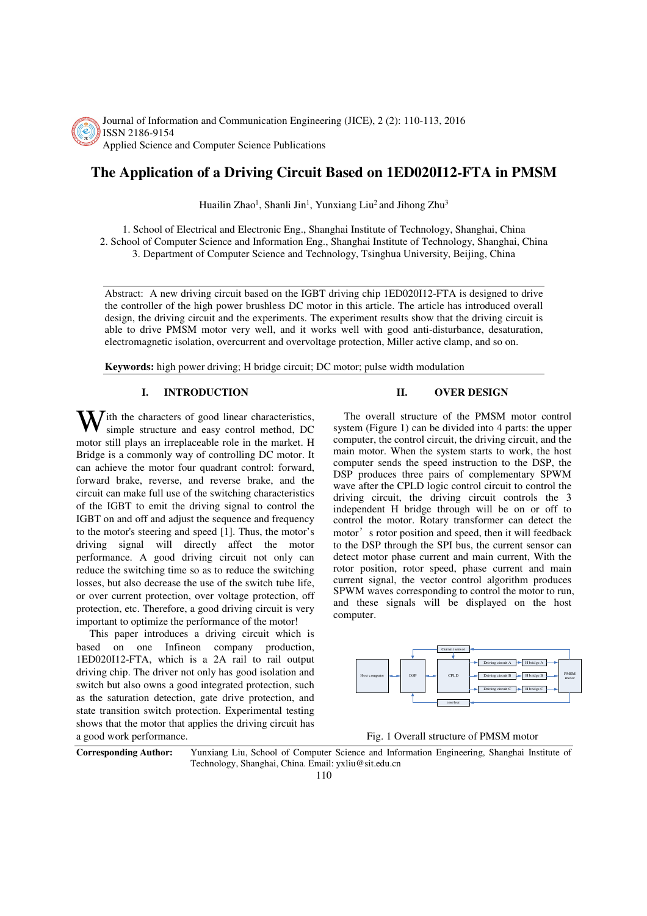Journal of Information and Communication Engineering (JICE), 2 (2): 110-113, 2016 ISSN 2186-9154 Applied Science and Computer Science Publications

# **The Application of a Driving Circuit Based on 1ED020I12-FTA in PMSM**

Huailin Zhao<sup>1</sup>, Shanli Jin<sup>1</sup>, Yunxiang Liu<sup>2</sup> and Jihong Zhu<sup>3</sup>

1. School of Electrical and Electronic Eng., Shanghai Institute of Technology, Shanghai, China 2. School of Computer Science and Information Eng., Shanghai Institute of Technology, Shanghai, China

3. Department of Computer Science and Technology, Tsinghua University, Beijing, China

Abstract: A new driving circuit based on the IGBT driving chip 1ED020I12-FTA is designed to drive the controller of the high power brushless DC motor in this article. The article has introduced overall design, the driving circuit and the experiments. The experiment results show that the driving circuit is able to drive PMSM motor very well, and it works well with good anti-disturbance, desaturation, electromagnetic isolation, overcurrent and overvoltage protection, Miller active clamp, and so on.

**Keywords:** high power driving; H bridge circuit; DC motor; pulse width modulation

# **I. INTRODUCTION**

#### **II. OVER DESIGN**

 $\mathbf{W}$  ith the characters of good linear characteristics,  $\sinh$ simple structure and easy control method, DC motor still plays an irreplaceable role in the market. H Bridge is a commonly way of controlling DC motor. It can achieve the motor four quadrant control: forward, forward brake, reverse, and reverse brake, and the circuit can make full use of the switching characteristics of the IGBT to emit the driving signal to control the IGBT on and off and adjust the sequence and frequency to the motor's steering and speed [1]. Thus, the motor's driving signal will directly affect the motor performance. A good driving circuit not only can reduce the switching time so as to reduce the switching losses, but also decrease the use of the switch tube life, or over current protection, over voltage protection, off protection, etc. Therefore, a good driving circuit is very important to optimize the performance of the motor!

 This paper introduces a driving circuit which is based on one Infineon company production, 1ED020I12-FTA, which is a 2A rail to rail output driving chip. The driver not only has good isolation and switch but also owns a good integrated protection, such as the saturation detection, gate drive protection, and state transition switch protection. Experimental testing shows that the motor that applies the driving circuit has a good work performance.

 The overall structure of the PMSM motor control system (Figure 1) can be divided into 4 parts: the upper computer, the control circuit, the driving circuit, and the main motor. When the system starts to work, the host computer sends the speed instruction to the DSP, the DSP produces three pairs of complementary SPWM wave after the CPLD logic control circuit to control the driving circuit, the driving circuit controls the 3 independent H bridge through will be on or off to control the motor. Rotary transformer can detect the motor's rotor position and speed, then it will feedback to the DSP through the SPI bus, the current sensor can detect motor phase current and main current, With the rotor position, rotor speed, phase current and main current signal, the vector control algorithm produces SPWM waves corresponding to control the motor to run, and these signals will be displayed on the host computer.



Fig. 1 Overall structure of PMSM motor

**Corresponding Author:** Yunxiang Liu, School of Computer Science and Information Engineering, Shanghai Institute of Technology, Shanghai, China. Email: yxliu@sit.edu.cn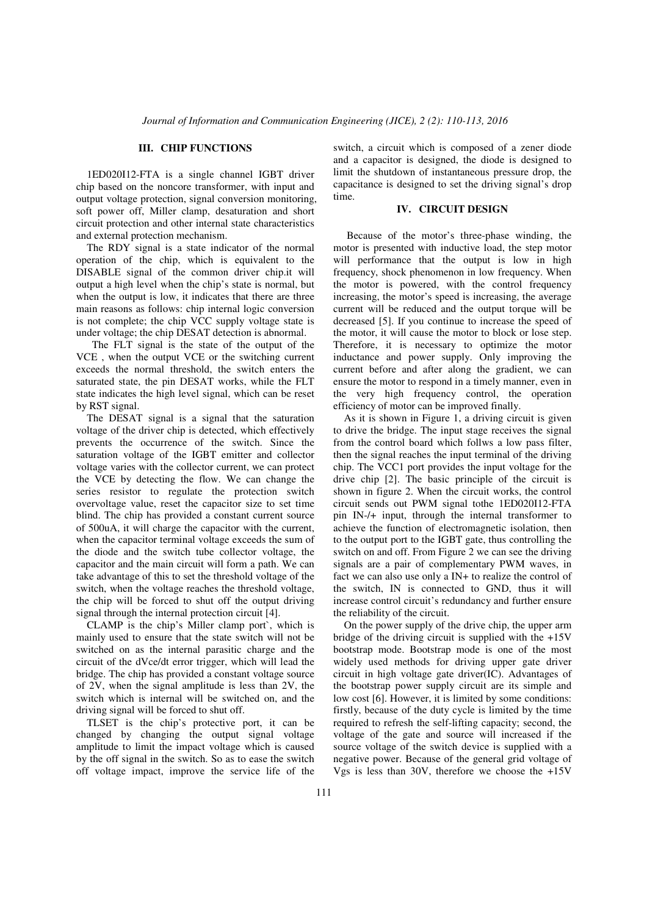## **III. CHIP FUNCTIONS**

 1ED020I12-FTA is a single channel IGBT driver chip based on the noncore transformer, with input and output voltage protection, signal conversion monitoring, soft power off, Miller clamp, desaturation and short circuit protection and other internal state characteristics and external protection mechanism.

 The RDY signal is a state indicator of the normal operation of the chip, which is equivalent to the DISABLE signal of the common driver chip.it will output a high level when the chip's state is normal, but when the output is low, it indicates that there are three main reasons as follows: chip internal logic conversion is not complete; the chip VCC supply voltage state is under voltage; the chip DESAT detection is abnormal.

The FLT signal is the state of the output of the VCE , when the output VCE or the switching current exceeds the normal threshold, the switch enters the saturated state, the pin DESAT works, while the FLT state indicates the high level signal, which can be reset by RST signal.

 The DESAT signal is a signal that the saturation voltage of the driver chip is detected, which effectively prevents the occurrence of the switch. Since the saturation voltage of the IGBT emitter and collector voltage varies with the collector current, we can protect the VCE by detecting the flow. We can change the series resistor to regulate the protection switch overvoltage value, reset the capacitor size to set time blind. The chip has provided a constant current source of 500uA, it will charge the capacitor with the current, when the capacitor terminal voltage exceeds the sum of the diode and the switch tube collector voltage, the capacitor and the main circuit will form a path. We can take advantage of this to set the threshold voltage of the switch, when the voltage reaches the threshold voltage, the chip will be forced to shut off the output driving signal through the internal protection circuit [4].

 CLAMP is the chip's Miller clamp port`, which is mainly used to ensure that the state switch will not be switched on as the internal parasitic charge and the circuit of the dVce/dt error trigger, which will lead the bridge. The chip has provided a constant voltage source of 2V, when the signal amplitude is less than 2V, the switch which is internal will be switched on, and the driving signal will be forced to shut off.

 TLSET is the chip's protective port, it can be changed by changing the output signal voltage amplitude to limit the impact voltage which is caused by the off signal in the switch. So as to ease the switch off voltage impact, improve the service life of the switch, a circuit which is composed of a zener diode and a capacitor is designed, the diode is designed to limit the shutdown of instantaneous pressure drop, the capacitance is designed to set the driving signal's drop time.

### **IV. CIRCUIT DESIGN**

 Because of the motor's three-phase winding, the motor is presented with inductive load, the step motor will performance that the output is low in high frequency, shock phenomenon in low frequency. When the motor is powered, with the control frequency increasing, the motor's speed is increasing, the average current will be reduced and the output torque will be decreased [5]. If you continue to increase the speed of the motor, it will cause the motor to block or lose step. Therefore, it is necessary to optimize the motor inductance and power supply. Only improving the current before and after along the gradient, we can ensure the motor to respond in a timely manner, even in the very high frequency control, the operation efficiency of motor can be improved finally.

 As it is shown in Figure 1, a driving circuit is given to drive the bridge. The input stage receives the signal from the control board which follws a low pass filter, then the signal reaches the input terminal of the driving chip. The VCC1 port provides the input voltage for the drive chip [2]. The basic principle of the circuit is shown in figure 2. When the circuit works, the control circuit sends out PWM signal tothe 1ED020I12-FTA pin IN-/+ input, through the internal transformer to achieve the function of electromagnetic isolation, then to the output port to the IGBT gate, thus controlling the switch on and off. From Figure 2 we can see the driving signals are a pair of complementary PWM waves, in fact we can also use only a IN+ to realize the control of the switch, IN is connected to GND, thus it will increase control circuit's redundancy and further ensure the reliability of the circuit.

 On the power supply of the drive chip, the upper arm bridge of the driving circuit is supplied with the +15V bootstrap mode. Bootstrap mode is one of the most widely used methods for driving upper gate driver circuit in high voltage gate driver(IC). Advantages of the bootstrap power supply circuit are its simple and low cost [6]. However, it is limited by some conditions: firstly, because of the duty cycle is limited by the time required to refresh the self-lifting capacity; second, the voltage of the gate and source will increased if the source voltage of the switch device is supplied with a negative power. Because of the general grid voltage of Vgs is less than 30V, therefore we choose the +15V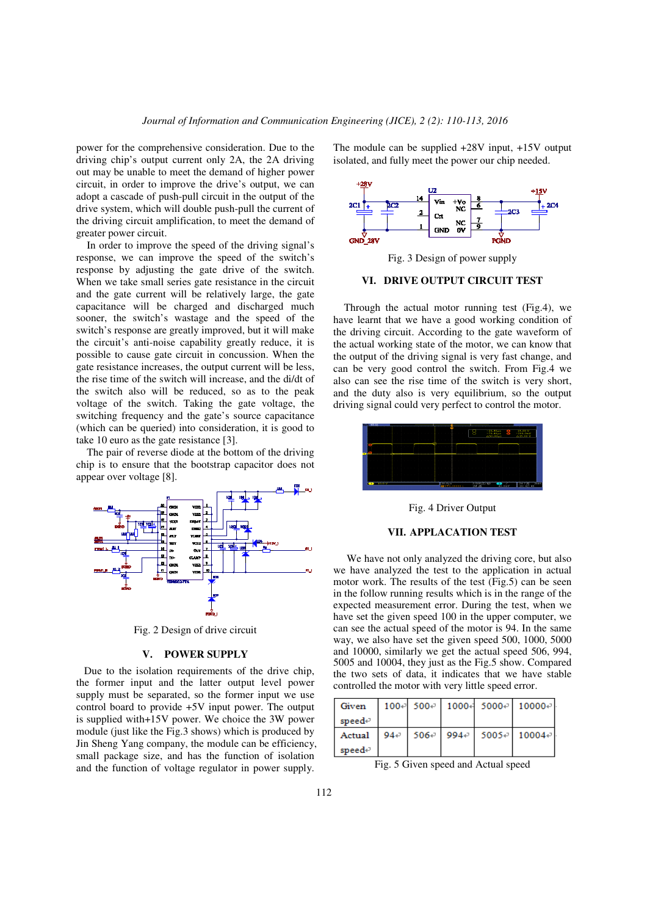power for the comprehensive consideration. Due to the driving chip's output current only 2A, the 2A driving out may be unable to meet the demand of higher power circuit, in order to improve the drive's output, we can adopt a cascade of push-pull circuit in the output of the drive system, which will double push-pull the current of the driving circuit amplification, to meet the demand of greater power circuit.

 In order to improve the speed of the driving signal's response, we can improve the speed of the switch's response by adjusting the gate drive of the switch. When we take small series gate resistance in the circuit and the gate current will be relatively large, the gate capacitance will be charged and discharged much sooner, the switch's wastage and the speed of the switch's response are greatly improved, but it will make the circuit's anti-noise capability greatly reduce, it is possible to cause gate circuit in concussion. When the gate resistance increases, the output current will be less, the rise time of the switch will increase, and the di/dt of the switch also will be reduced, so as to the peak voltage of the switch. Taking the gate voltage, the switching frequency and the gate's source capacitance (which can be queried) into consideration, it is good to take 10 euro as the gate resistance [3].

 The pair of reverse diode at the bottom of the driving chip is to ensure that the bootstrap capacitor does not appear over voltage [8].



Fig. 2 Design of drive circuit

# **V. POWER SUPPLY**

 Due to the isolation requirements of the drive chip, the former input and the latter output level power supply must be separated, so the former input we use control board to provide +5V input power. The output is supplied with+15V power. We choice the 3W power module (just like the Fig.3 shows) which is produced by Jin Sheng Yang company, the module can be efficiency, small package size, and has the function of isolation and the function of voltage regulator in power supply.

The module can be supplied +28V input, +15V output isolated, and fully meet the power our chip needed.



Fig. 3 Design of power supply

## **VI. DRIVE OUTPUT CIRCUIT TEST**

 Through the actual motor running test (Fig.4), we have learnt that we have a good working condition of the driving circuit. According to the gate waveform of the actual working state of the motor, we can know that the output of the driving signal is very fast change, and can be very good control the switch. From Fig.4 we also can see the rise time of the switch is very short, and the duty also is very equilibrium, so the output driving signal could very perfect to control the motor.



Fig. 4 Driver Output

#### **VII. APPLACATION TEST**

We have not only analyzed the driving core, but also we have analyzed the test to the application in actual motor work. The results of the test (Fig.5) can be seen in the follow running results which is in the range of the expected measurement error. During the test, when we have set the given speed 100 in the upper computer, we can see the actual speed of the motor is 94. In the same way, we also have set the given speed 500, 1000, 5000 and 10000, similarly we get the actual speed 506, 994, 5005 and 10004, they just as the Fig.5 show. Compared the two sets of data, it indicates that we have stable controlled the motor with very little speed error.

| Given                             |  |  |  |  | $100e$ 500 $e$ 1000 $e$ 5000 $e$ 10000 $e$ |
|-----------------------------------|--|--|--|--|--------------------------------------------|
| $\texttt{speed} \cdot \texttt{?}$ |  |  |  |  |                                            |
| Actual                            |  |  |  |  | $94e$ 506e 994e 5005e 10004e               |
| speed⊬                            |  |  |  |  |                                            |
| $\sim$ $\sim$ $\sim$<br>111.1     |  |  |  |  |                                            |

Fig. 5 Given speed and Actual speed